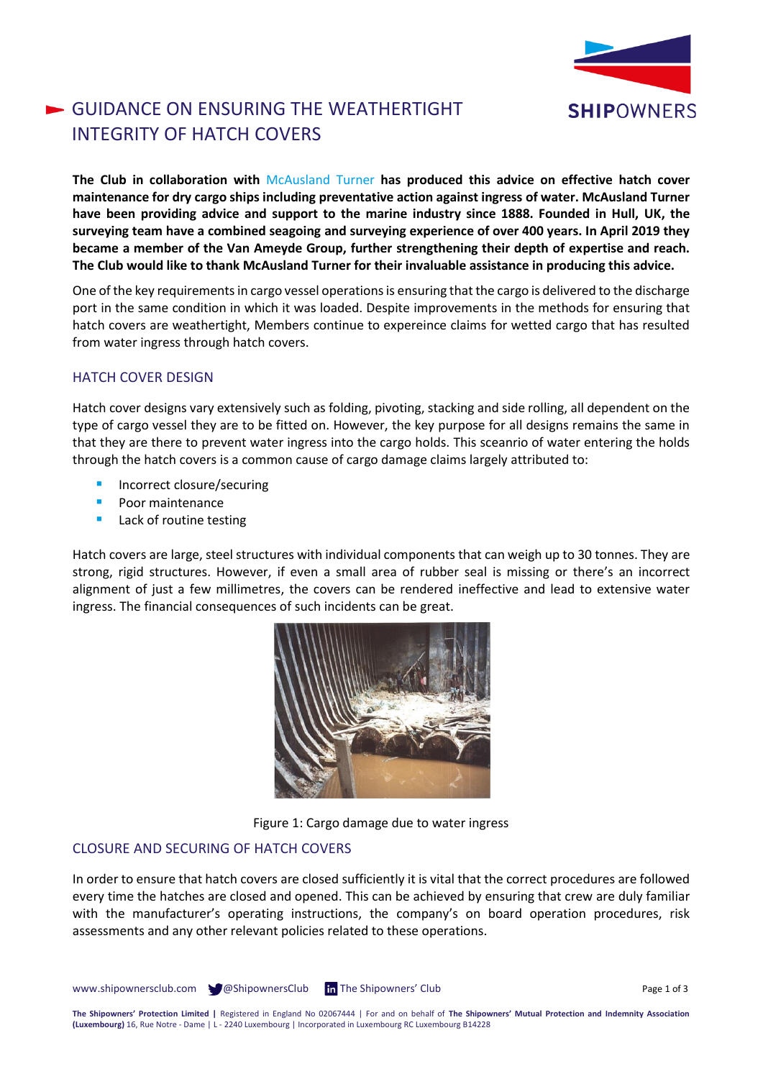

# GUIDANCE ON ENSURING THE WEATHERTIGHT INTEGRITY OF HATCH COVERS

**The Club in collaboration with** [McAusland Turner](https://www.mcauslands.com/) **has produced this advice on effective hatch cover maintenance for dry cargo ships including preventative action against ingress of water. McAusland Turner have been providing advice and support to the marine industry since 1888. Founded in Hull, UK, the surveying team have a combined seagoing and surveying experience of over 400 years. In April 2019 they became a member of the Van Ameyde Group, further strengthening their depth of expertise and reach. The Club would like to thank McAusland Turner for their invaluable assistance in producing this advice.**

One of the key requirements in cargo vessel operations is ensuring that the cargo is delivered to the discharge port in the same condition in which it was loaded. Despite improvements in the methods for ensuring that hatch covers are weathertight, Members continue to expereince claims for wetted cargo that has resulted from water ingress through hatch covers.

## HATCH COVER DESIGN

Hatch cover designs vary extensively such as folding, pivoting, stacking and side rolling, all dependent on the type of cargo vessel they are to be fitted on. However, the key purpose for all designs remains the same in that they are there to prevent water ingress into the cargo holds. This sceanrio of water entering the holds through the hatch covers is a common cause of cargo damage claims largely attributed to:

- Incorrect closure/securing
- Poor maintenance
- Lack of routine testing

Hatch covers are large, steel structures with individual components that can weigh up to 30 tonnes. They are strong, rigid structures. However, if even a small area of rubber seal is missing or there's an incorrect alignment of just a few millimetres, the covers can be rendered ineffective and lead to extensive water ingress. The financial consequences of such incidents can be great.



Figure 1: Cargo damage due to water ingress

## CLOSURE AND SECURING OF HATCH COVERS

In order to ensure that hatch covers are closed sufficiently it is vital that the correct procedures are followed every time the hatches are closed and opened. This can be achieved by ensuring that crew are duly familiar with the manufacturer's operating instructions, the company's on board operation procedures, risk assessments and any other relevant policies related to these operations.

www.shipownersclub.com  $\bigcirc$  @ShipownersClub In The Shipowners' Club Page 1 of 3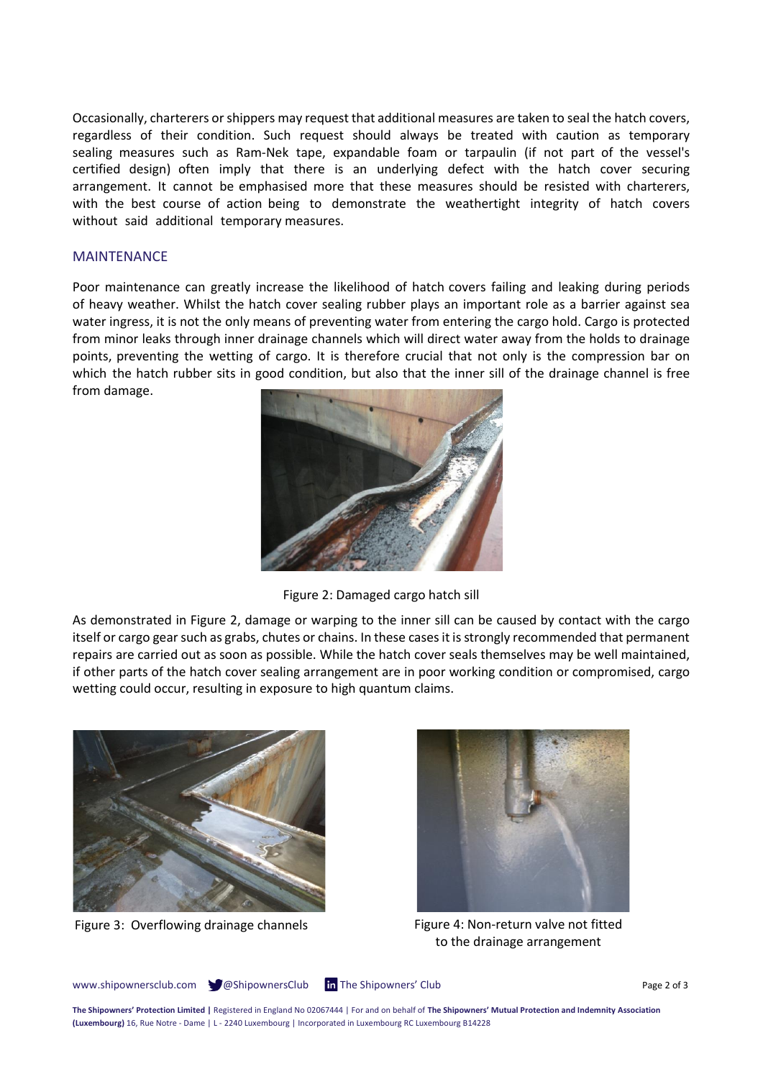Occasionally, charterers or shippers may request that additional measures are taken to seal the hatch covers, regardless of their condition. Such request should always be treated with caution as temporary sealing measures such as Ram-Nek tape, expandable foam or tarpaulin (if not part of the vessel's certified design) often imply that there is an underlying defect with the hatch cover securing arrangement. It cannot be emphasised more that these measures should be resisted with charterers, with the best course of action being to demonstrate the weathertight integrity of hatch covers without said additional temporary measures.

### MAINTENANCE

Poor maintenance can greatly increase the likelihood of hatch covers failing and leaking during periods of heavy weather. Whilst the hatch cover sealing rubber plays an important role as a barrier against sea water ingress, it is not the only means of preventing water from entering the cargo hold. Cargo is protected from minor leaks through inner drainage channels which will direct water away from the holds to drainage points, preventing the wetting of cargo. It is therefore crucial that not only is the compression bar on which the hatch rubber sits in good condition, but also that the inner sill of the drainage channel is free from damage.



Figure 2: Damaged cargo hatch sill

As demonstrated in Figure 2, damage or warping to the inner sill can be caused by contact with the cargo itself or cargo gear such as grabs, chutes or chains. In these casesit is strongly recommended that permanent repairs are carried out as soon as possible. While the hatch cover seals themselves may be well maintained, if other parts of the hatch cover sealing arrangement are in poor working condition or compromised, cargo wetting could occur, resulting in exposure to high quantum claims.





Figure 3: Overflowing drainage channels Figure 4: Non-return valve not fitted to the drainage arrangement

www.shipownersclub.com  $\bigcirc$  @ShipownersClub In The Shipowners' Club Page 2 of 3

**The Shipowners' Protection Limited |** Registered in England No 02067444 | For and on behalf of **The Shipowners' Mutual Protection and Indemnity Association (Luxembourg)** 16, Rue Notre - Dame | L - 2240 Luxembourg | Incorporated in Luxembourg RC Luxembourg B14228